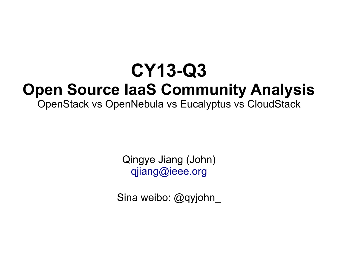### **CY13-Q3 Open Source IaaS Community Analysis**

OpenStack vs OpenNebula vs Eucalyptus vs CloudStack

Qingye Jiang (John) [qjiang@ieee.org](mailto:qjiang@ieee.org)

Sina weibo: @qyjohn\_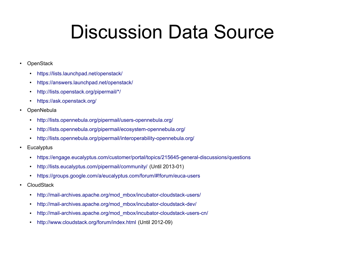# Discussion Data Source

- OpenStack
	- <https://lists.launchpad.net/openstack/>
	- <https://answers.launchpad.net/openstack/>
	- [http://lists.openstack.org/pipermail/\\*/](http://lists.openstack.org/pipermail/*/)
	- <https://ask.openstack.org/>
- OpenNebula
	- <http://lists.opennebula.org/pipermail/users-opennebula.org/>
	- <http://lists.opennebula.org/pipermail/ecosystem-opennebula.org/>
	- <http://lists.opennebula.org/pipermail/interoperability-opennebula.org/>
- Eucalyptus
	- <https://engage.eucalyptus.com/customer/portal/topics/215645-general-discussions/questions>
	- <http://lists.eucalyptus.com/pipermail/community/>(Until 2013-01)
	- <https://groups.google.com/a/eucalyptus.com/forum/#!forum/euca-users>
- CloudStack
	- [http://mail-archives.apache.org/mod\\_mbox/incubator-cloudstack-users/](http://mail-archives.apache.org/mod_mbox/incubator-cloudstack-users/)
	- [http://mail-archives.apache.org/mod\\_mbox/incubator-cloudstack-dev/](http://mail-archives.apache.org/mod_mbox/incubator-cloudstack-dev/)
	- [http://mail-archives.apache.org/mod\\_mbox/incubator-cloudstack-users-cn/](http://mail-archives.apache.org/mod_mbox/incubator-cloudstack-users-cn/)
	- <http://www.cloudstack.org/forum/index.html> (Until 2012-09)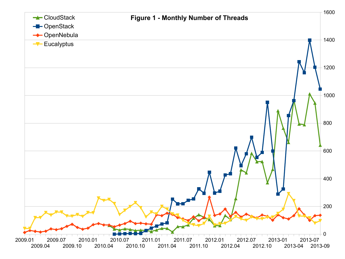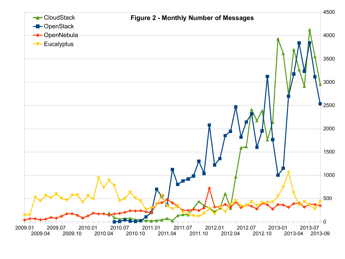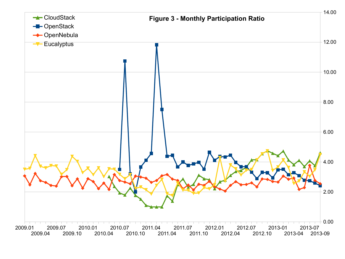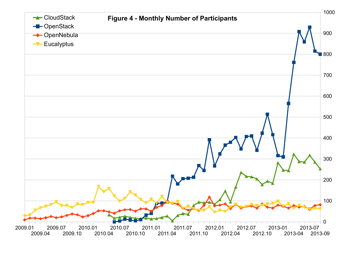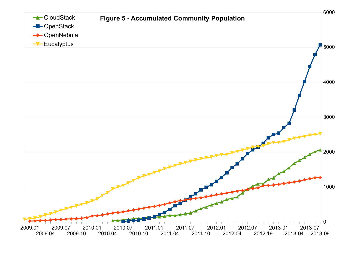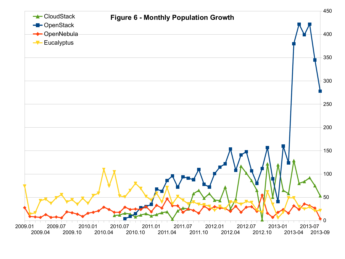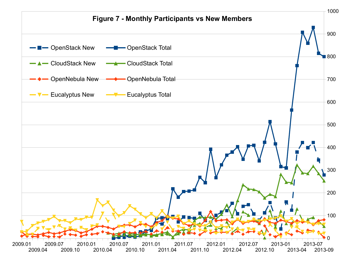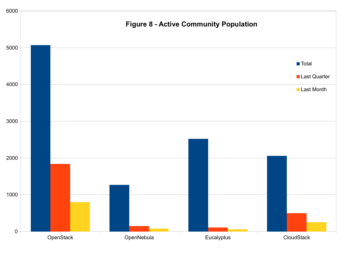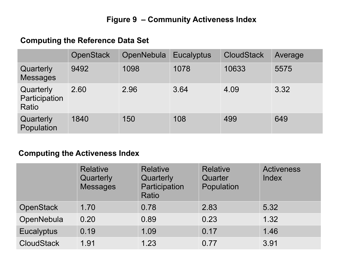### **Figure 9 – Community Activeness Index**

#### **Computing the Reference Data Set**

|                                     | <b>OpenStack</b> | OpenNebula | <b>Eucalyptus</b> | <b>CloudStack</b> | Average |
|-------------------------------------|------------------|------------|-------------------|-------------------|---------|
| Quarterly<br><b>Messages</b>        | 9492             | 1098       | 1078              | 10633             | 5575    |
| Quarterly<br>Participation<br>Ratio | 2.60             | 2.96       | 3.64              | 4.09              | 3.32    |
| Quarterly<br>Population             | 1840             | 150        | 108               | 499               | 649     |

#### **Computing the Activeness Index**

|                   | <b>Relative</b><br>Quarterly<br><b>Messages</b> | <b>Relative</b><br>Quarterly<br>Participation<br>Ratio | <b>Relative</b><br>Quarter<br>Population | <b>Activeness</b><br>Index |
|-------------------|-------------------------------------------------|--------------------------------------------------------|------------------------------------------|----------------------------|
| <b>OpenStack</b>  | 1.70                                            | 0.78                                                   | 2.83                                     | 5.32                       |
| OpenNebula        | 0.20                                            | 0.89                                                   | 0.23                                     | 1.32                       |
| <b>Eucalyptus</b> | 0.19                                            | 1.09                                                   | 0.17                                     | 1.46                       |
| <b>CloudStack</b> | 1.91                                            | 1.23                                                   | 0.77                                     | 3.91                       |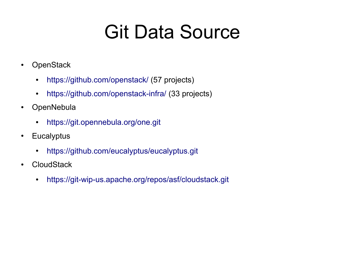# Git Data Source

- OpenStack
	- <https://github.com/openstack/>(57 projects)
	- <https://github.com/openstack-infra/>(33 projects)
- OpenNebula
	- <https://git.opennebula.org/one.git>
- Eucalyptus
	- <https://github.com/eucalyptus/eucalyptus.git>
- CloudStack
	- <https://git-wip-us.apache.org/repos/asf/cloudstack.git>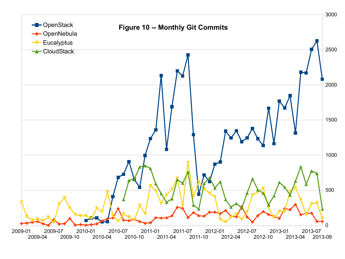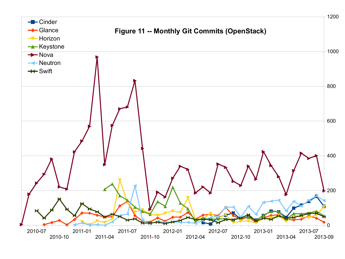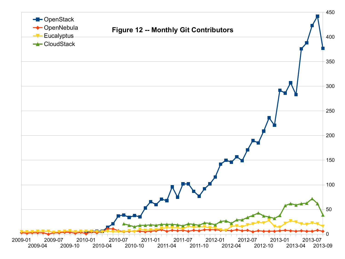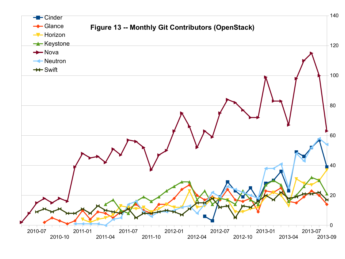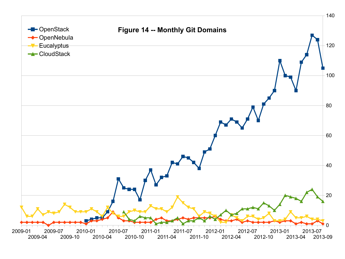